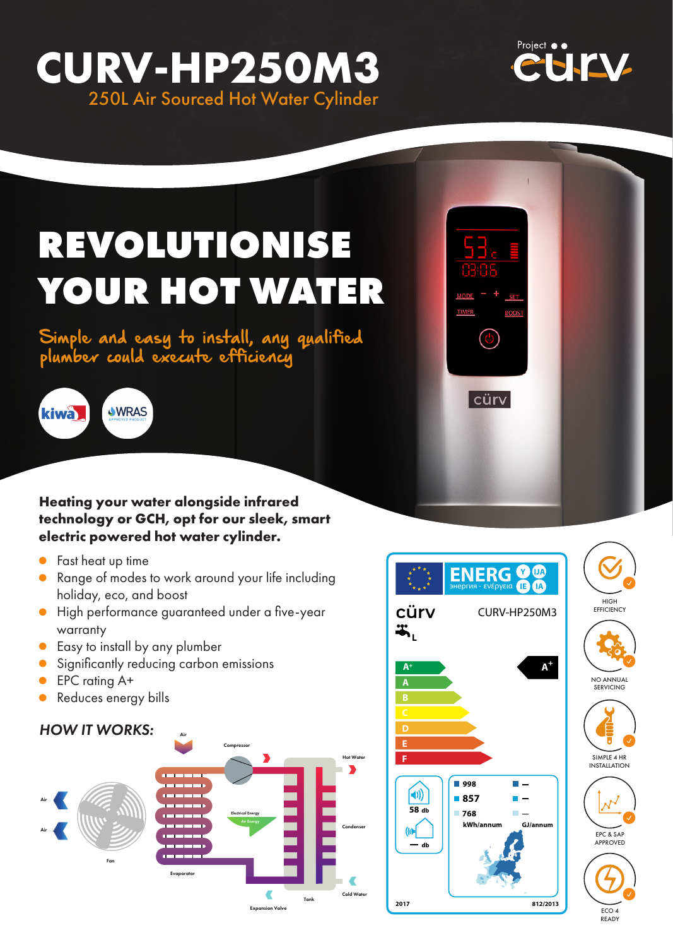## **CURV-HP250M3** 250L Air Sourced Hot Water Cylinder



# **REVOLUTIONISE YOUR HOT WATER**

Simple and easy to install, any qualified plumber could execute efficiency



**Heating your water alongside infrared technology or GCH, opt for our sleek, smart electric powered hot water cylinder.**

- **•** Fast heat up time
- **•** Range of modes to work around your life including holiday, eco, and boost
- High performance guaranteed under a five-year warranty
- **Easy to install by any plumber**
- Significantly reducing carbon emissions
- EPC rating A+  $\bullet$
- Reduces energy bills  $\bullet$

### *HOW IT WORKS:*





 $\bullet$ 

| cürv|